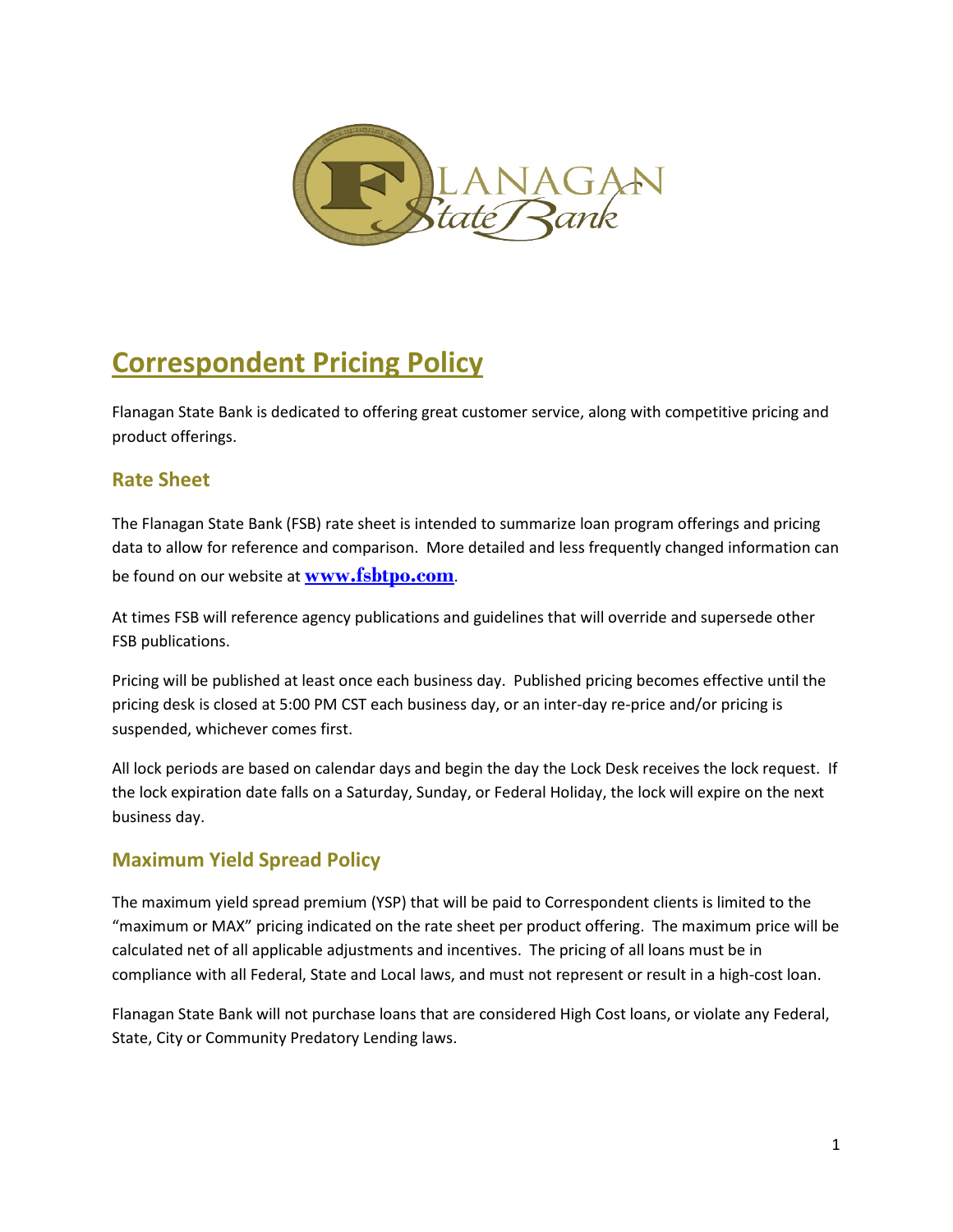

# **Correspondent Pricing Policy**

Flanagan State Bank is dedicated to offering great customer service, along with competitive pricing and product offerings.

## **Rate Sheet**

The Flanagan State Bank (FSB) rate sheet is intended to summarize loan program offerings and pricing data to allow for reference and comparison. More detailed and less frequently changed information can be found on our website at **[www.fsbtpo.com](http://www.fsbtpo.com/)**.

At times FSB will reference agency publications and guidelines that will override and supersede other FSB publications.

Pricing will be published at least once each business day. Published pricing becomes effective until the pricing desk is closed at 5:00 PM CST each business day, or an inter-day re-price and/or pricing is suspended, whichever comes first.

All lock periods are based on calendar days and begin the day the Lock Desk receives the lock request. If the lock expiration date falls on a Saturday, Sunday, or Federal Holiday, the lock will expire on the next business day.

# **Maximum Yield Spread Policy**

The maximum yield spread premium (YSP) that will be paid to Correspondent clients is limited to the "maximum or MAX" pricing indicated on the rate sheet per product offering. The maximum price will be calculated net of all applicable adjustments and incentives. The pricing of all loans must be in compliance with all Federal, State and Local laws, and must not represent or result in a high-cost loan.

Flanagan State Bank will not purchase loans that are considered High Cost loans, or violate any Federal, State, City or Community Predatory Lending laws.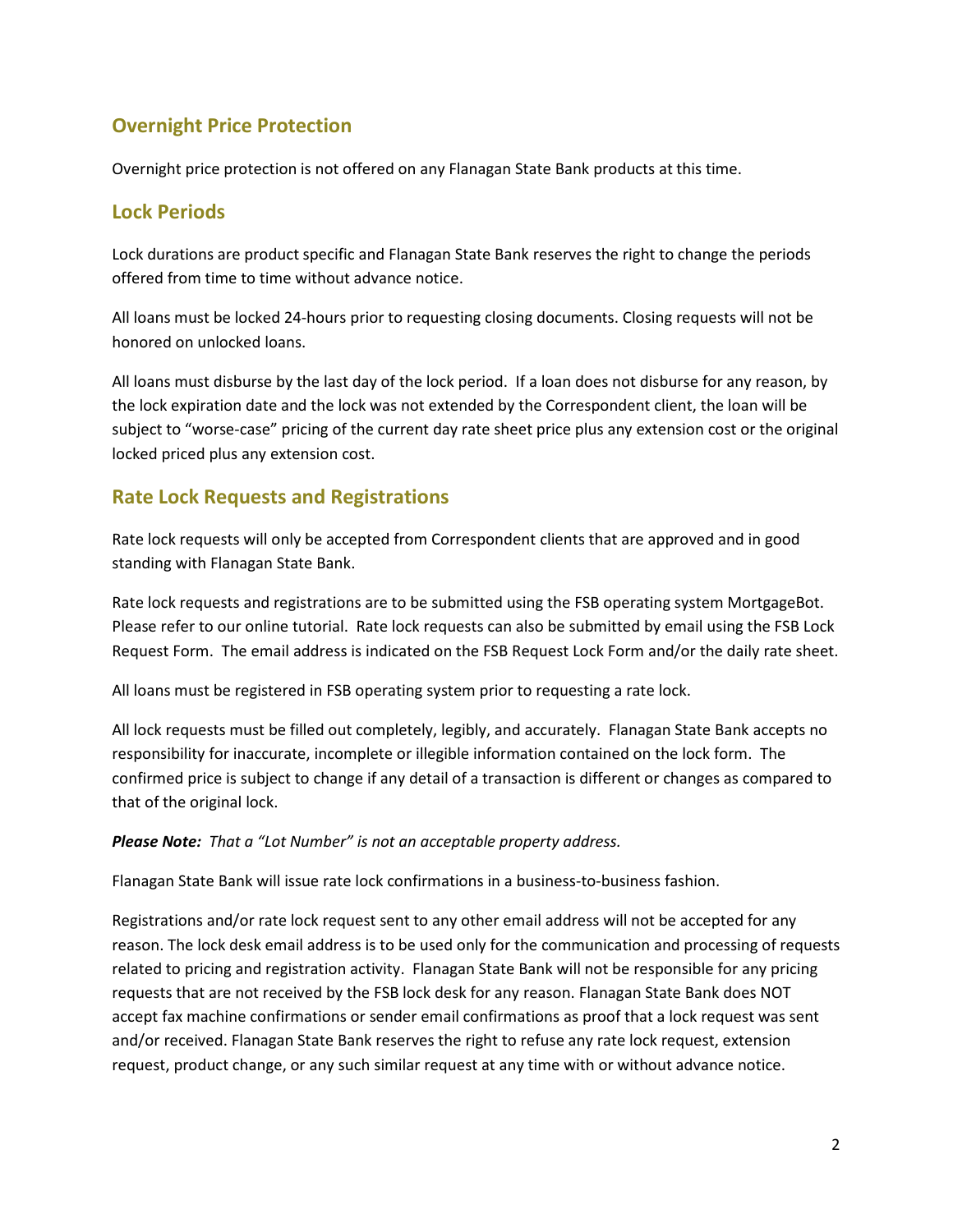# **Overnight Price Protection**

Overnight price protection is not offered on any Flanagan State Bank products at this time.

## **Lock Periods**

Lock durations are product specific and Flanagan State Bank reserves the right to change the periods offered from time to time without advance notice.

All loans must be locked 24-hours prior to requesting closing documents. Closing requests will not be honored on unlocked loans.

All loans must disburse by the last day of the lock period. If a loan does not disburse for any reason, by the lock expiration date and the lock was not extended by the Correspondent client, the loan will be subject to "worse-case" pricing of the current day rate sheet price plus any extension cost or the original locked priced plus any extension cost.

# **Rate Lock Requests and Registrations**

Rate lock requests will only be accepted from Correspondent clients that are approved and in good standing with Flanagan State Bank.

Rate lock requests and registrations are to be submitted using the FSB operating system MortgageBot. Please refer to our online tutorial. Rate lock requests can also be submitted by email using the FSB Lock Request Form. The email address is indicated on the FSB Request Lock Form and/or the daily rate sheet.

All loans must be registered in FSB operating system prior to requesting a rate lock.

All lock requests must be filled out completely, legibly, and accurately. Flanagan State Bank accepts no responsibility for inaccurate, incomplete or illegible information contained on the lock form. The confirmed price is subject to change if any detail of a transaction is different or changes as compared to that of the original lock.

#### *Please Note: That a "Lot Number" is not an acceptable property address.*

Flanagan State Bank will issue rate lock confirmations in a business-to-business fashion.

Registrations and/or rate lock request sent to any other email address will not be accepted for any reason. The lock desk email address is to be used only for the communication and processing of requests related to pricing and registration activity. Flanagan State Bank will not be responsible for any pricing requests that are not received by the FSB lock desk for any reason. Flanagan State Bank does NOT accept fax machine confirmations or sender email confirmations as proof that a lock request was sent and/or received. Flanagan State Bank reserves the right to refuse any rate lock request, extension request, product change, or any such similar request at any time with or without advance notice.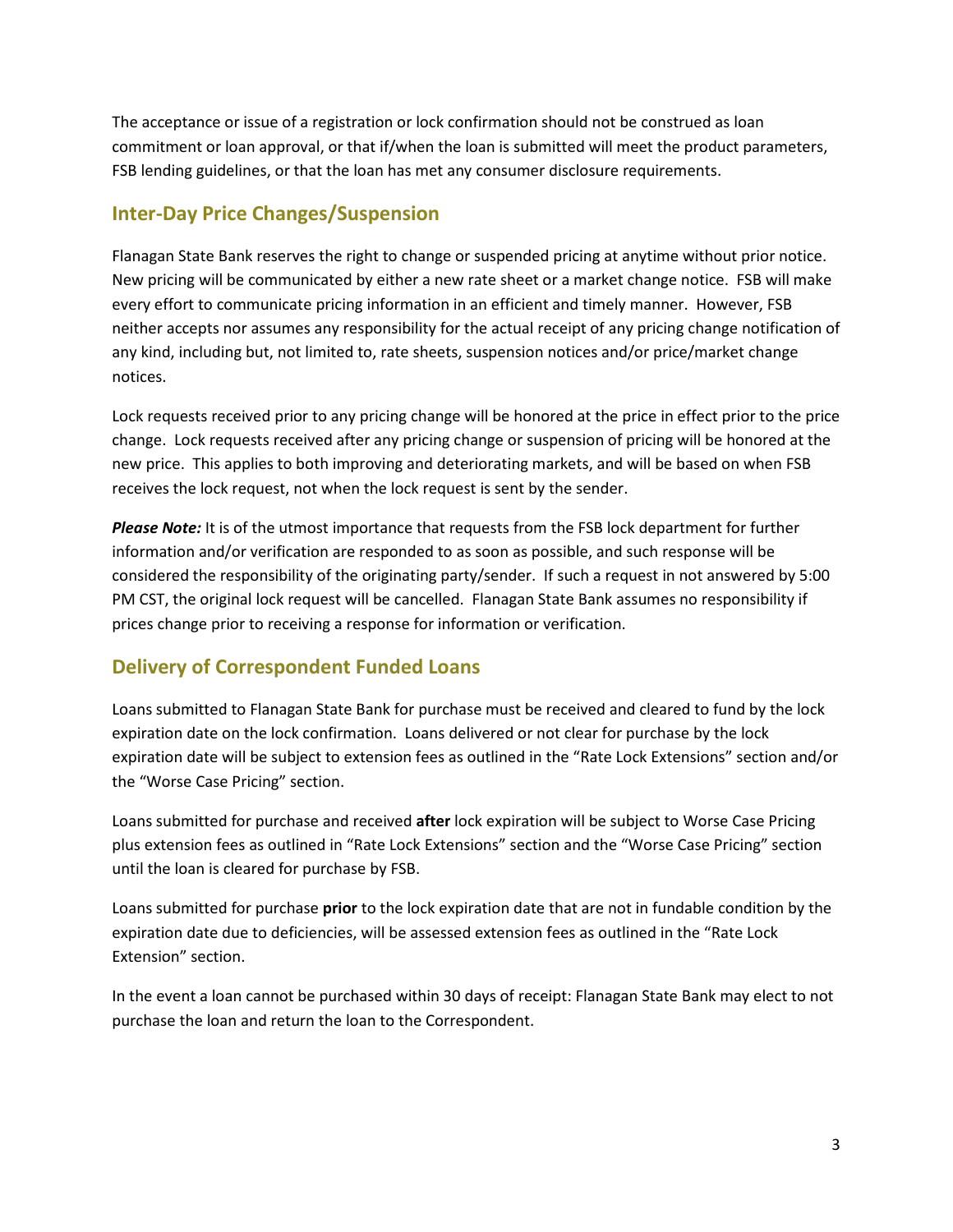The acceptance or issue of a registration or lock confirmation should not be construed as loan commitment or loan approval, or that if/when the loan is submitted will meet the product parameters, FSB lending guidelines, or that the loan has met any consumer disclosure requirements.

# **Inter-Day Price Changes/Suspension**

Flanagan State Bank reserves the right to change or suspended pricing at anytime without prior notice. New pricing will be communicated by either a new rate sheet or a market change notice. FSB will make every effort to communicate pricing information in an efficient and timely manner. However, FSB neither accepts nor assumes any responsibility for the actual receipt of any pricing change notification of any kind, including but, not limited to, rate sheets, suspension notices and/or price/market change notices.

Lock requests received prior to any pricing change will be honored at the price in effect prior to the price change. Lock requests received after any pricing change or suspension of pricing will be honored at the new price. This applies to both improving and deteriorating markets, and will be based on when FSB receives the lock request, not when the lock request is sent by the sender.

*Please Note:* It is of the utmost importance that requests from the FSB lock department for further information and/or verification are responded to as soon as possible, and such response will be considered the responsibility of the originating party/sender. If such a request in not answered by 5:00 PM CST, the original lock request will be cancelled. Flanagan State Bank assumes no responsibility if prices change prior to receiving a response for information or verification.

# **Delivery of Correspondent Funded Loans**

Loans submitted to Flanagan State Bank for purchase must be received and cleared to fund by the lock expiration date on the lock confirmation. Loans delivered or not clear for purchase by the lock expiration date will be subject to extension fees as outlined in the "Rate Lock Extensions" section and/or the "Worse Case Pricing" section.

Loans submitted for purchase and received **after** lock expiration will be subject to Worse Case Pricing plus extension fees as outlined in "Rate Lock Extensions" section and the "Worse Case Pricing" section until the loan is cleared for purchase by FSB.

Loans submitted for purchase **prior** to the lock expiration date that are not in fundable condition by the expiration date due to deficiencies, will be assessed extension fees as outlined in the "Rate Lock Extension" section.

In the event a loan cannot be purchased within 30 days of receipt: Flanagan State Bank may elect to not purchase the loan and return the loan to the Correspondent.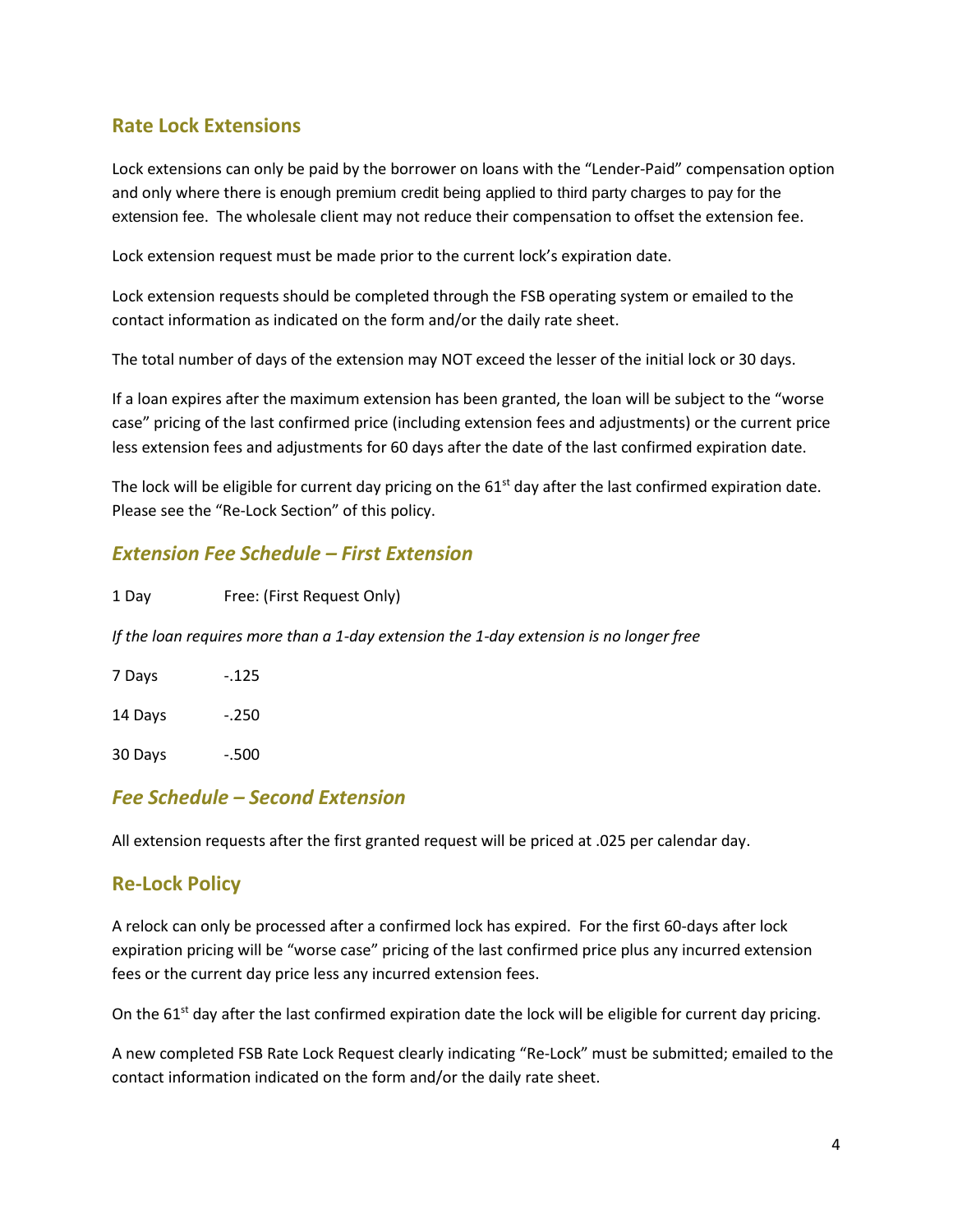# **Rate Lock Extensions**

Lock extensions can only be paid by the borrower on loans with the "Lender-Paid" compensation option and only where there is enough premium credit being applied to third party charges to pay for the extension fee. The wholesale client may not reduce their compensation to offset the extension fee.

Lock extension request must be made prior to the current lock's expiration date.

Lock extension requests should be completed through the FSB operating system or emailed to the contact information as indicated on the form and/or the daily rate sheet.

The total number of days of the extension may NOT exceed the lesser of the initial lock or 30 days.

If a loan expires after the maximum extension has been granted, the loan will be subject to the "worse case" pricing of the last confirmed price (including extension fees and adjustments) or the current price less extension fees and adjustments for 60 days after the date of the last confirmed expiration date.

The lock will be eligible for current day pricing on the 61<sup>st</sup> day after the last confirmed expiration date. Please see the "Re-Lock Section" of this policy.

## *Extension Fee Schedule – First Extension*

| 1 Day | Free: (First Request Only) |
|-------|----------------------------|
|       |                            |

*If the loan requires more than a 1-day extension the 1-day extension is no longer free* 

| 7 Days  | - 125 |
|---------|-------|
| 14 Days | - 250 |
| 30 Days | -.500 |

#### *Fee Schedule – Second Extension*

All extension requests after the first granted request will be priced at .025 per calendar day.

#### **Re-Lock Policy**

A relock can only be processed after a confirmed lock has expired. For the first 60-days after lock expiration pricing will be "worse case" pricing of the last confirmed price plus any incurred extension fees or the current day price less any incurred extension fees.

On the 61<sup>st</sup> day after the last confirmed expiration date the lock will be eligible for current day pricing.

A new completed FSB Rate Lock Request clearly indicating "Re-Lock" must be submitted; emailed to the contact information indicated on the form and/or the daily rate sheet.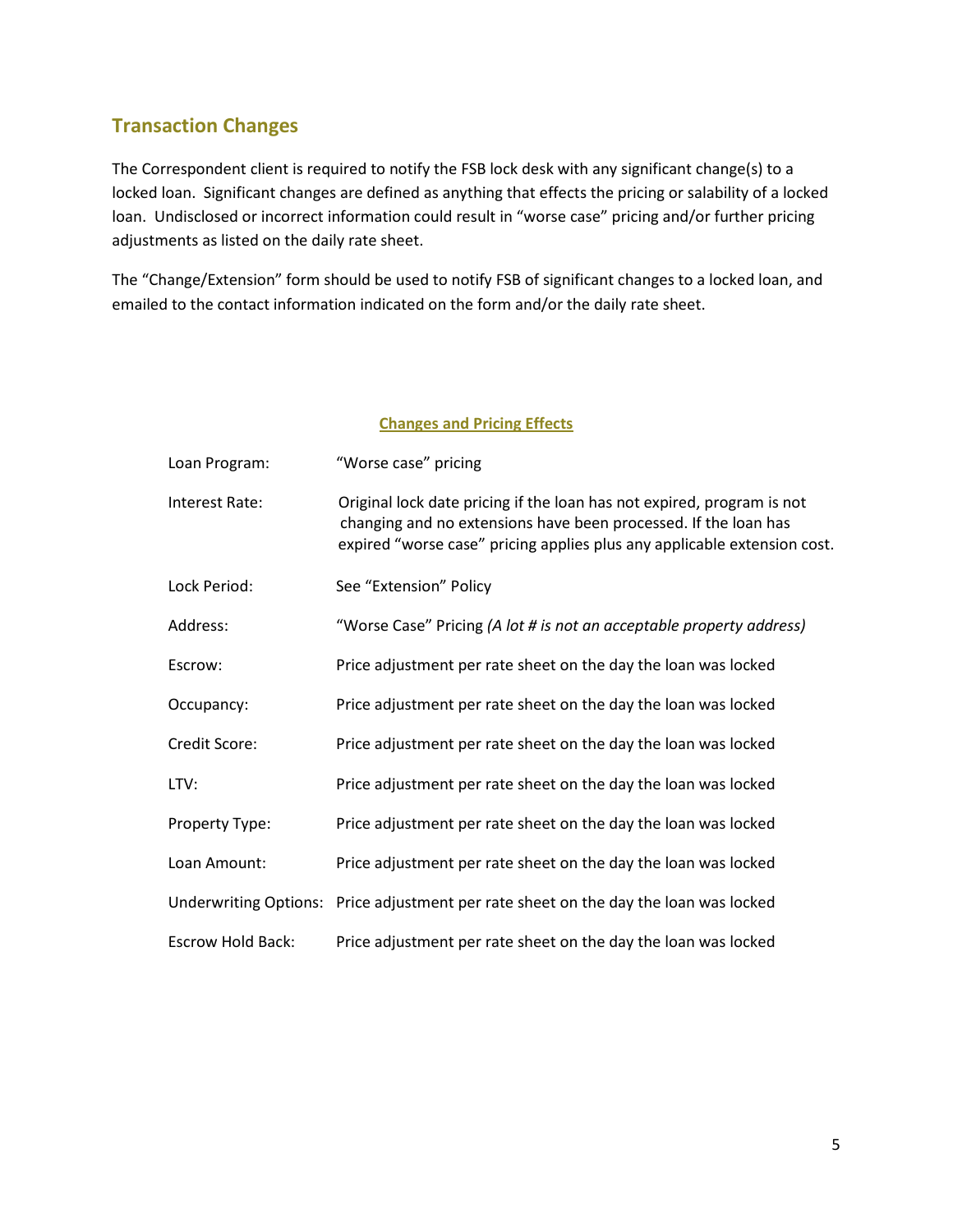# **Transaction Changes**

The Correspondent client is required to notify the FSB lock desk with any significant change(s) to a locked loan. Significant changes are defined as anything that effects the pricing or salability of a locked loan. Undisclosed or incorrect information could result in "worse case" pricing and/or further pricing adjustments as listed on the daily rate sheet.

The "Change/Extension" form should be used to notify FSB of significant changes to a locked loan, and emailed to the contact information indicated on the form and/or the daily rate sheet.

#### **Changes and Pricing Effects**

| Loan Program:            | "Worse case" pricing                                                                                                                                                                                                  |
|--------------------------|-----------------------------------------------------------------------------------------------------------------------------------------------------------------------------------------------------------------------|
| Interest Rate:           | Original lock date pricing if the loan has not expired, program is not<br>changing and no extensions have been processed. If the loan has<br>expired "worse case" pricing applies plus any applicable extension cost. |
| Lock Period:             | See "Extension" Policy                                                                                                                                                                                                |
| Address:                 | "Worse Case" Pricing (A lot # is not an acceptable property address)                                                                                                                                                  |
| Escrow:                  | Price adjustment per rate sheet on the day the loan was locked                                                                                                                                                        |
| Occupancy:               | Price adjustment per rate sheet on the day the loan was locked                                                                                                                                                        |
| Credit Score:            | Price adjustment per rate sheet on the day the loan was locked                                                                                                                                                        |
| LTV:                     | Price adjustment per rate sheet on the day the loan was locked                                                                                                                                                        |
| Property Type:           | Price adjustment per rate sheet on the day the loan was locked                                                                                                                                                        |
| Loan Amount:             | Price adjustment per rate sheet on the day the loan was locked                                                                                                                                                        |
|                          | Underwriting Options: Price adjustment per rate sheet on the day the loan was locked                                                                                                                                  |
| <b>Escrow Hold Back:</b> | Price adjustment per rate sheet on the day the loan was locked                                                                                                                                                        |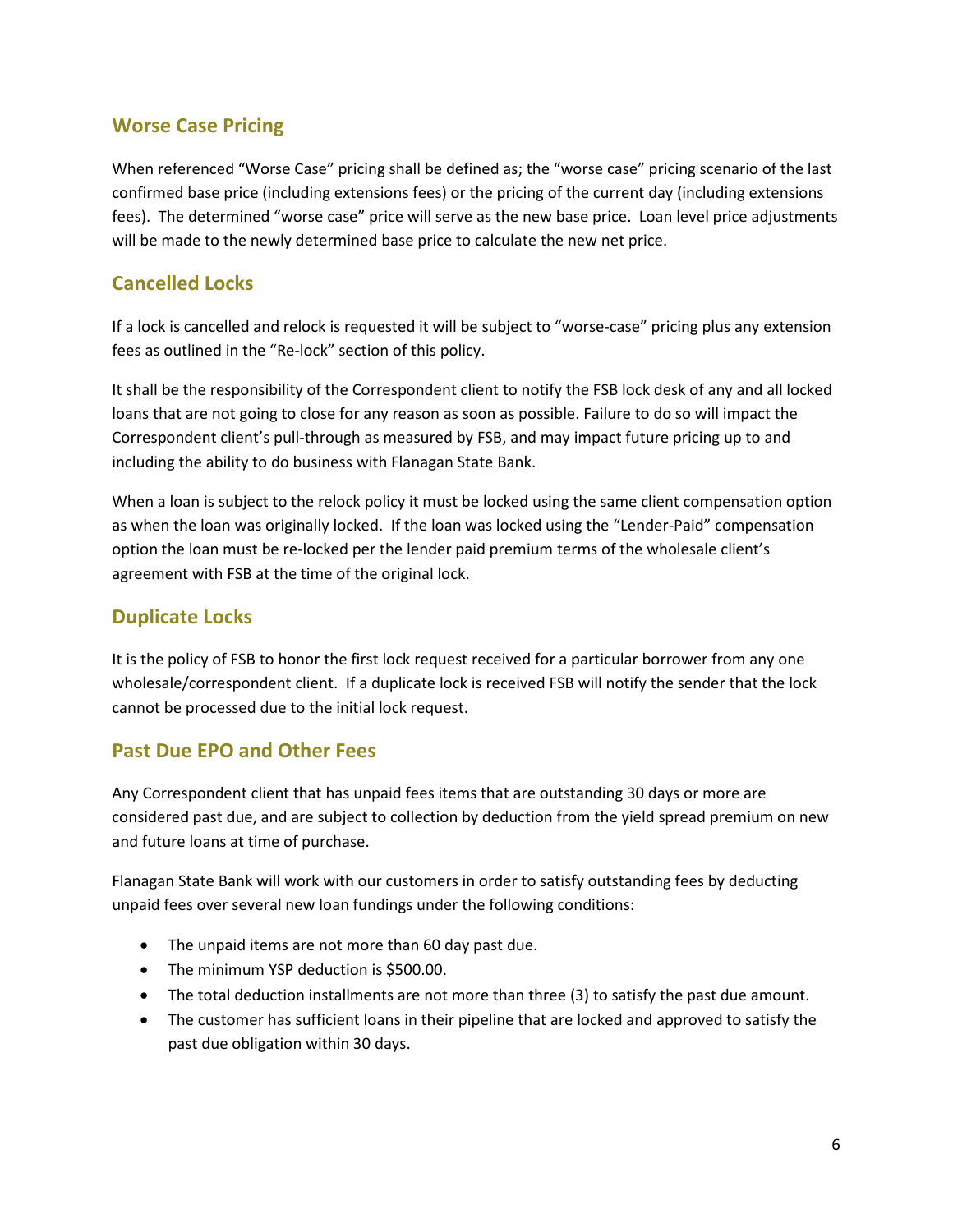# **Worse Case Pricing**

When referenced "Worse Case" pricing shall be defined as; the "worse case" pricing scenario of the last confirmed base price (including extensions fees) or the pricing of the current day (including extensions fees). The determined "worse case" price will serve as the new base price. Loan level price adjustments will be made to the newly determined base price to calculate the new net price.

# **Cancelled Locks**

If a lock is cancelled and relock is requested it will be subject to "worse-case" pricing plus any extension fees as outlined in the "Re-lock" section of this policy.

It shall be the responsibility of the Correspondent client to notify the FSB lock desk of any and all locked loans that are not going to close for any reason as soon as possible. Failure to do so will impact the Correspondent client's pull-through as measured by FSB, and may impact future pricing up to and including the ability to do business with Flanagan State Bank.

When a loan is subject to the relock policy it must be locked using the same client compensation option as when the loan was originally locked. If the loan was locked using the "Lender-Paid" compensation option the loan must be re-locked per the lender paid premium terms of the wholesale client's agreement with FSB at the time of the original lock.

# **Duplicate Locks**

It is the policy of FSB to honor the first lock request received for a particular borrower from any one wholesale/correspondent client. If a duplicate lock is received FSB will notify the sender that the lock cannot be processed due to the initial lock request.

# **Past Due EPO and Other Fees**

Any Correspondent client that has unpaid fees items that are outstanding 30 days or more are considered past due, and are subject to collection by deduction from the yield spread premium on new and future loans at time of purchase.

Flanagan State Bank will work with our customers in order to satisfy outstanding fees by deducting unpaid fees over several new loan fundings under the following conditions:

- The unpaid items are not more than 60 day past due.
- The minimum YSP deduction is \$500.00.
- The total deduction installments are not more than three (3) to satisfy the past due amount.
- The customer has sufficient loans in their pipeline that are locked and approved to satisfy the past due obligation within 30 days.